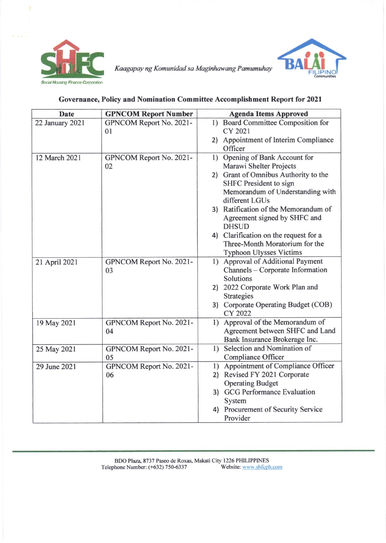



Kaagapay ng Komunidad sa Maginhawang Pamumuhay

## Governance, Policy and Nomination Committee Accomplishment Report for 2021

| <b>Date</b>     | <b>GPNCOM Report Number</b> | <b>Agenda Items Approved</b>            |
|-----------------|-----------------------------|-----------------------------------------|
| 22 January 2021 | GPNCOM Report No. 2021-     | 1) Board Committee Composition for      |
|                 | 01                          | CY 2021                                 |
|                 |                             | Appointment of Interim Compliance<br>2) |
|                 |                             | Officer                                 |
| 12 March 2021   | GPNCOM Report No. 2021-     | Opening of Bank Account for<br>1)       |
|                 | 02                          | Marawi Shelter Projects                 |
|                 |                             | Grant of Omnibus Authority to the<br>2) |
|                 |                             | <b>SHFC</b> President to sign           |
|                 |                             | Memorandum of Understanding with        |
|                 |                             | different LGUs                          |
|                 |                             | 3) Ratification of the Memorandum of    |
|                 |                             | Agreement signed by SHFC and            |
|                 |                             | <b>DHSUD</b>                            |
|                 |                             | 4) Clarification on the request for a   |
|                 |                             | Three-Month Moratorium for the          |
|                 |                             | <b>Typhoon Ulysses Victims</b>          |
| 21 April 2021   | GPNCOM Report No. 2021-     | 1) Approval of Additional Payment       |
|                 | 03                          | Channels - Corporate Information        |
|                 |                             | Solutions                               |
|                 |                             | 2022 Corporate Work Plan and<br>2)      |
|                 |                             | <b>Strategies</b>                       |
|                 |                             | 3) Corporate Operating Budget (COB)     |
|                 |                             | CY 2022                                 |
| 19 May 2021     | GPNCOM Report No. 2021-     | 1) Approval of the Memorandum of        |
|                 | 04                          | Agreement between SHFC and Land         |
|                 |                             | Bank Insurance Brokerage Inc.           |
| 25 May 2021     | GPNCOM Report No. 2021-     | 1) Selection and Nomination of          |
|                 | 05                          | <b>Compliance Officer</b>               |
| 29 June 2021    | GPNCOM Report No. 2021-     | 1) Appointment of Compliance Officer    |
|                 | 06                          | Revised FY 2021 Corporate<br>2)         |
|                 |                             | <b>Operating Budget</b>                 |
|                 |                             | 3) GCG Performance Evaluation           |
|                 |                             | System                                  |
|                 |                             | Procurement of Security Service<br>4)   |
|                 |                             | Provider                                |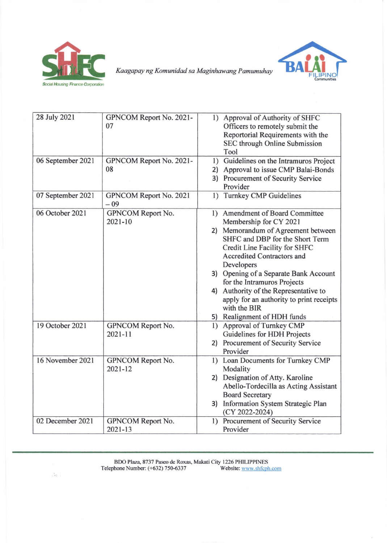

 $\sim$  12  $\sim$ 



Kaagapay ng Komunidad sa Maginhawang Pamumuhay

| 28 July 2021      | GPNCOM Report No. 2021-<br>07    | 1) Approval of Authority of SHFC<br>Officers to remotely submit the<br>Reportorial Requirements with the<br>SEC through Online Submission<br>Tool                                                                                                                                                                                                                                                                                        |
|-------------------|----------------------------------|------------------------------------------------------------------------------------------------------------------------------------------------------------------------------------------------------------------------------------------------------------------------------------------------------------------------------------------------------------------------------------------------------------------------------------------|
| 06 September 2021 | GPNCOM Report No. 2021-<br>08    | Guidelines on the Intramuros Project<br>1)<br>Approval to issue CMP Balai-Bonds<br>2)<br>Procurement of Security Service<br>3)<br>Provider                                                                                                                                                                                                                                                                                               |
| 07 September 2021 | GPNCOM Report No. 2021<br>$-09$  | <b>Turnkey CMP Guidelines</b><br>1)                                                                                                                                                                                                                                                                                                                                                                                                      |
| 06 October 2021   | GPNCOM Report No.<br>$2021 - 10$ | 1) Amendment of Board Committee<br>Membership for CY 2021<br>Memorandum of Agreement between<br>2)<br>SHFC and DBP for the Short Term<br>Credit Line Facility for SHFC<br><b>Accredited Contractors and</b><br>Developers<br>3) Opening of a Separate Bank Account<br>for the Intramuros Projects<br>Authority of the Representative to<br>4)<br>apply for an authority to print receipts<br>with the BIR<br>5) Realignment of HDH funds |
| 19 October 2021   | GPNCOM Report No.<br>$2021 - 11$ | <b>Approval of Turnkey CMP</b><br>1)<br>Guidelines for HDH Projects<br>Procurement of Security Service<br>2)<br>Provider                                                                                                                                                                                                                                                                                                                 |
| 16 November 2021  | GPNCOM Report No.<br>$2021 - 12$ | 1) Loan Documents for Turnkey CMP<br>Modality<br>2) Designation of Atty. Karoline<br>Abello-Tordecilla as Acting Assistant<br><b>Board Secretary</b><br>3) Information System Strategic Plan<br>(CY 2022-2024)                                                                                                                                                                                                                           |
| 02 December 2021  | GPNCOM Report No.<br>$2021 - 13$ | Procurement of Security Service<br>1)<br>Provider                                                                                                                                                                                                                                                                                                                                                                                        |